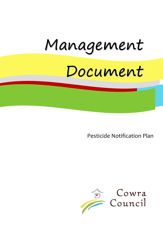# Management

## Document

Pesticide Notification Plan

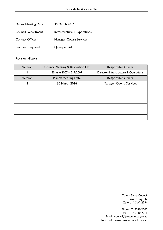| <b>Manex Meeting Date</b> | 30 March 2016                 |
|---------------------------|-------------------------------|
| <b>Council Department</b> | Infrastructure & Operations   |
| <b>Contact Officer</b>    | <b>Manager-Cowra Services</b> |
| <b>Revision Required</b>  | Quinquennial                  |

#### Revision History

| Version        | <b>Council Meeting &amp; Resolution No</b> | <b>Responsible Officer</b>           |
|----------------|--------------------------------------------|--------------------------------------|
|                | 25 June 2007 - 217/2007                    | Director-Infrastructure & Operations |
| Version        | <b>Manex Meeting Date</b>                  | <b>Responsible Officer</b>           |
| $\overline{2}$ | 30 March 2016                              | Manager-Cowra Services               |
|                |                                            |                                      |
|                |                                            |                                      |
|                |                                            |                                      |
|                |                                            |                                      |
|                |                                            |                                      |
|                |                                            |                                      |

Cowra Shire Council Private Bag 342 Cowra NSW 2794

Phone: 02 6340 2000 Fax: 02 6340 2011 Email: council@cowra.nsw.gov.au Internet: [www.cowracouncil.com.au](http://www.cowraregion.com.au/)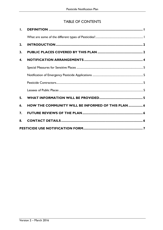### TABLE OF CONTENTS

| Ι.               |                                                    |  |
|------------------|----------------------------------------------------|--|
|                  |                                                    |  |
| 2.               |                                                    |  |
| 3.               |                                                    |  |
| 4.               |                                                    |  |
|                  |                                                    |  |
|                  |                                                    |  |
|                  |                                                    |  |
|                  |                                                    |  |
| 5.               |                                                    |  |
| 6.               | HOW THE COMMUNITY WILL BE INFORMED OF THIS PLAN  6 |  |
| $\overline{7}$ . |                                                    |  |
| 8.               |                                                    |  |
|                  |                                                    |  |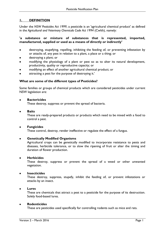#### <span id="page-3-0"></span>**1. DEFINITION**

Under the *NSW Pesticides Act 1999*, a pesticide is an 'agricultural chemical product' as defined in the *Agricultural and Veterinary Chemicals Code Act 1994* (Cwlth), namely:

#### **'a substance or mixture of substances that is represented, imported, manufactured, supplied or used as a means of directly or indirectly'**

- destroying, stupefying, repelling, inhibiting the feeding of, or preventing infestation by or attacks of, any pest in relation to a plant, a place or a thing; or
- destroying a plant; or
- modifying the physiology of a plant or pest so as to alter its natural development, productivity, quality or reproductive capacity; or
- modifying an effect of another agricultural chemical product; or
- attracting a pest for the purpose of destroying it.'

#### <span id="page-3-1"></span>**What are some of the different types of Pesticides?**

Some families or groups of chemical products which are considered pesticides under current NSW legislation are:

#### **Bactericides**

These destroy, suppress or prevent the spread of bacteria.

#### **Baits**

These are ready-prepared products or products which need to be mixed with a food to control a pest.

#### **Fungicides**

These control, destroy, render ineffective or regulate the effect of a fungus.

#### **Genetically Modified Organisms**

Agricultural crops can be genetically modified to incorporate resistance to pests and diseases, herbicide tolerance, or to slow the ripening of fruit or alter the timing and duration of flower production.

#### **Herbicides**

These destroy, suppress or prevent the spread of a weed or other unwanted vegetation.

#### **Insecticides**

These destroy, suppress, stupefy, inhibit the feeding of, or prevent infestations or attacks by an insect.

#### **Lures**  $\bullet$

These are chemicals that attract a pest to a pesticide for the purpose of its destruction. Solely food-based lures.

#### **Rodenticides**

These are pesticides used specifically for controlling rodents such as mice and rats.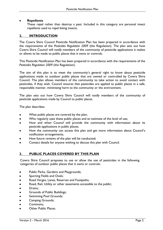#### **Repellents**

These repel rather than destroy a pest. Included in this category are personal insect repellents used to repel biting insects.

#### <span id="page-4-0"></span>**2. INTRODUCTION**

The Cowra Shire Council Pesticide Notification Plan has been prepared in accordance with the requirements of the *Pesticides Regulation 2009* (the Regulation). The plan sets out how Cowra Shire Council will notify members of the community of pesticide applications it makes or allows to be made to public places that it owns or controls.

This Pesticide Notification Plan has been prepared in accordance with the requirements of the *Pesticides Regulation 2009* (the Regulation).

The aim of this plan is to meet the community's general right to know about pesticide applications made to outdoor public places that are owned or controlled by Cowra Shire Council. The plan allows members of the community to take action to avoid contact with pesticides, if they wish. Council ensures that pesticides are applied to public places in a safe, responsible manner, minimising harm to the community or the environment.

The plan sets out how Cowra Shire Council will notify members of the community of pesticide applications made by Council to public places.

The plan describes:

- What public places are covered by the plan;
- Who regularly uses these public places and an estimate of the level of use;  $\bullet$
- How and when Council will provide the community with information about its pesticide applications in public places;
- How the community can access this plan and get more information about Council's notification arrangements;
- How future reviews of the plan will be conducted;
- Contact details for anyone wishing to discuss this plan with Council.

#### <span id="page-4-1"></span>**3. PUBLIC PLACES COVERED BY THIS PLAN**

Cowra Shire Council proposes to use or allow the use of pesticides in the following categories of outdoor public places that it owns or controls:

- Public Parks, Gardens and Playgrounds;  $\bullet$
- Sporting Fields and Ovals;  $\bullet$
- Road Verges, Lanes, Reserves and Footpaths;  $\bullet$
- Road, Rail, Utility or other easements accessible to the public;  $\bullet$
- Drains;  $\bullet$
- $\bullet$ Grounds of Public Buildings;
- Swimming Pool Grounds;  $\bullet$
- Camping Grounds;  $\bullet$
- Commons;  $\bullet$
- Other Public Places.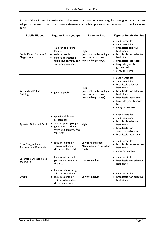Cowra Shire Council's estimate of the level of community use, regular user groups and types of pesticide use in each of these categories of public places is summarised in the following table.

| <b>Public Places</b>                          | <b>Regular User groups</b>                                                                                                     | <b>Level of Use</b>                                                               | <b>Type of Pesticide Use</b>                                                                                                                                                                                                                           |
|-----------------------------------------------|--------------------------------------------------------------------------------------------------------------------------------|-----------------------------------------------------------------------------------|--------------------------------------------------------------------------------------------------------------------------------------------------------------------------------------------------------------------------------------------------------|
| Public Parks, Gardens &<br>Playgrounds        | children and young<br>families<br>elderly people<br>general recreational<br>users (e.g. joggers, dog-<br>walkers, picnickers). | High<br>(frequent use by multiple<br>users, with short to<br>medium length stays) | spot herbicides<br>٠<br>spot insecticides<br>broadscale selective<br>herbicides<br>broadscale non selective<br>$\bullet$<br>herbicides<br>broadscale insecticides<br>$\bullet$<br>fungicide (usually<br>$\bullet$<br>garden beds)<br>spray ant control |
| <b>Grounds of Public</b><br><b>Buildings</b>  | general public                                                                                                                 | High<br>(frequent use by multiple<br>users, with short to<br>medium length stays) | spot herbicides<br>$\bullet$<br>spot insecticides<br>$\bullet$<br>broadscale selective<br>herbicides<br>broadscale non selective<br>$\bullet$<br>herbicides<br>broadscale insecticides<br>fungicide (usually garden<br>beds)<br>spray ant control      |
| Sporting Fields and Ovals                     | sporting clubs and<br>associations<br>school sports groups<br>general recreational<br>users (e.g. joggers, dog-<br>walkers)    | <b>High</b>                                                                       | spot herbicides<br>٠<br>spot insecticides<br>broadscale selective<br>herbicides<br>broadscale non-<br>٠<br>selective herbicides<br>broadscale insecticides                                                                                             |
| Road Verges, Lanes,<br>Reserves and Footpaths | local residents or<br>visitors walking or<br>driving on the road                                                               | Low for rural roads;<br>Medium to high for urban<br>roads                         | spot herbicides<br>broadscale non-selective<br>herbicides<br>spray ant control                                                                                                                                                                         |
| <b>Easements Accessible to</b><br>the Public  | local residents and<br>people who work in<br>the area                                                                          | Low to medium                                                                     | spot herbicides<br>broadscale non selective<br>herbicides                                                                                                                                                                                              |
| Drains                                        | local residents living<br>adjacent to a drain;<br>local residents or<br>visitors who walk or<br>drive past a drain.            | Low to medium                                                                     | spot herbicides<br>broadscale non selective<br>herbicides                                                                                                                                                                                              |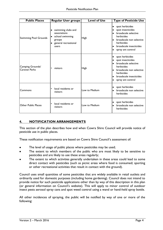| <b>Public Places</b>              | <b>Regular User groups</b>                                                                       | <b>Level of Use</b> | <b>Type of Pesticide Use</b>                                                                                                                                                                                                  |
|-----------------------------------|--------------------------------------------------------------------------------------------------|---------------------|-------------------------------------------------------------------------------------------------------------------------------------------------------------------------------------------------------------------------------|
| <b>Swimming Pool Grounds</b>      | swimming clubs and<br>associations<br>school swimming<br>groups<br>general recreational<br>users | High                | spot herbicides<br>$\bullet$<br>spot insecticides<br>٠<br>broadscale selective<br>herbicides<br>broadscale non selective<br>$\bullet$<br>herbicides<br>broadscale insecticides<br>$\bullet$<br>spray ant control<br>٠         |
| Camping Grounds/<br>Caravan Parks | visitors                                                                                         | High                | spot herbicides<br>$\bullet$<br>spot insecticides<br>broadscale selective<br>$\bullet$<br>herbicides<br>broadscale non selective<br>$\bullet$<br>herbicides<br>broadscale insecticides<br>$\bullet$<br>spray ant control<br>٠ |
| Commons                           | local residents or<br>visitors                                                                   | Low to Medium       | spot herbicides<br>٠<br>broadscale non selective<br>herbicides                                                                                                                                                                |
| <b>Other Public Places</b>        | local residents or<br>visitors                                                                   | Low to Medium       | spot herbicides<br>٠<br>broadscale non selective<br>$\bullet$<br>herbicides                                                                                                                                                   |

#### <span id="page-6-0"></span>**4. NOTIFICATION ARRANGEMENTS**

This section of the plan describes how and when Cowra Shire Council will provide notice of pesticide use in public places.

These notification requirements are based on Cowra Shire Council's assessment of:

- The level of usage of public places where pesticides may be used;
- The extent to which members of the public who are most likely to be sensitive to pesticides and are likely to use these areas regularly;
- The extent to which activities generally undertaken in these areas could lead to some direct contact with pesticides (such as picnic areas where food is consumed; sporting or other recreational activities that result in contact with the ground).

Council uses small quantities of some pesticides that are widely available in retail outlets and ordinarily used for domestic purposes (including home gardening). Council does not intend to provide notice for such pesticide applications other than by way of this description in this plan (or general information on Council's website). This will apply to minor control of outdoor insect pests aerosol spray cans and spot weed control using a wand or hand-held spray bottle.

All other incidences of spraying, the public will be notified by way of one or more of the following: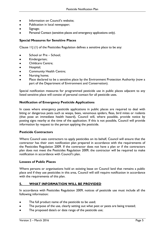- Information on Council's website;  $\bullet$
- Publication in local newspaper;  $\bullet$
- Signage;  $\bullet$
- Personal Contact (sensitive places and emergency applications only).

#### <span id="page-7-0"></span>**Special Measures for Sensitive Places**

Clause 11J (1) of the Pesticides Regulation defines a sensitive place to be any:

- School or Pre School;  $\bullet$
- Kindergarten;  $\bullet$
- Childcare Centre;  $\bullet$
- $\bullet$ Hospital;
- Community Health Centre;  $\bullet$
- Nursing home;  $\bullet$
- Place declared to be a sensitive place by the Environment Protection Authority (now a part of the Department of Environment and Conservation).

Special notification measures for programmed pesticide use in public places adjacent to any listed sensitive place will consist of personal contact for all pesticide uses.

#### <span id="page-7-1"></span>**Notification of Emergency Pesticide Applications**

In cases where emergency pesticide applications in public places are required to deal with biting or dangerous pests such as wasps, bees, venomous spiders, fleas, bird mites or rodents (that pose an immediate health hazard), Council will, where possible, provide notice by posting signs nearby at the time of the application. If this is not possible, Council will provide information by request to the person applying the pesticide.

#### <span id="page-7-2"></span>**Pesticide Contractors**

Where Council uses contractors to apply pesticides on its behalf, Council will ensure that the contractor has their own notification plan prepared in accordance with the requirements of the Pesticides Regulation 2009. If the contractor does not have a plan or if the contractors plan does not meet the Pesticides Regulation 2009, the contractor will be required to make notification in accordance with Council's plan.

#### <span id="page-7-3"></span>**Lessees of Public Places**

Where persons or organisations hold an existing lease on Council land that remains a public place and if they use pesticides in this area, Council will still require notification in accordance with the requirements of this plan.

#### <span id="page-7-4"></span>**5. WHAT INFORMATION WILL BE PROVIDED**

In accordance with Pesticides Regulation 2009, notices of pesticide use must include all the following information:

- The full product name of the pesticide to be used;  $\bullet$
- The purpose of the use, clearly setting out what pest or pests are being treated;
- The proposed date/s or date range of the pesticide use;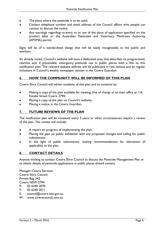- The place where the pesticide is to be used;
- Contact telephone number and email address of the Council officer who people can contact to discuss the notice;
- Any warnings regarding re-entry to or use of the place of application specified on the product label or the Australian Pesticides and Veterinary Medicines Authority (APVMA) permit.

Signs will be of a standardised design that will be easily recognisable to the public and workers.

As already noted, Council's website will have a dedicated area that describes its programmed, reactive and, if practicable, emergency pesticide use in public places with a link to this notification plan. The relevant website address will be publicised in rate notices and by regular inclusions in Council's weekly newspaper section in the Cowra Guardian.

#### <span id="page-8-0"></span>**6. HOW THE COMMUNITY WILL BE INFORMED OF THIS PLAN**

Cowra Shire Council will advise residents of this plan and its contents by:

- Making a copy of the plan available for viewing, free of charge at its main office at 116 Kendal Street Cowra 2794;
- Placing a copy of the plan on Council's website;
- Placing a notice in the Cowra Guardian.

#### <span id="page-8-1"></span>**7. FUTURE REVIEWS OF THE PLAN**

The notification plan will be reviewed every 3 years or when circumstances require a review of the plan. The review will include:

- A report on progress of implementing the plan;
- Placing the plan on public exhibition with any proposed changes and calling for public  $\bullet$ submissions;
- In the light of public submissions, making recommendations for alterations (if applicable) to the plan.

#### <span id="page-8-2"></span>**8. CONTACT DETAILS**

Anyone wishing to contact Cowra Shire Council to discuss the Pesticide Management Plan or to obtain details of pesticide applications in public places should contact:

Manager-Cowra Services Cowra Shire Council Private Bag 342 Cowra NSW 2794 P: 02 6340 2070 F: 02 6340 2011

- 
- E: [council@cowra.nsw.gov.au](mailto:council@cowra.nsw.gov.au)
- W: [www.cowracouncil.com.au](http://www.cowracouncil.com.au/)